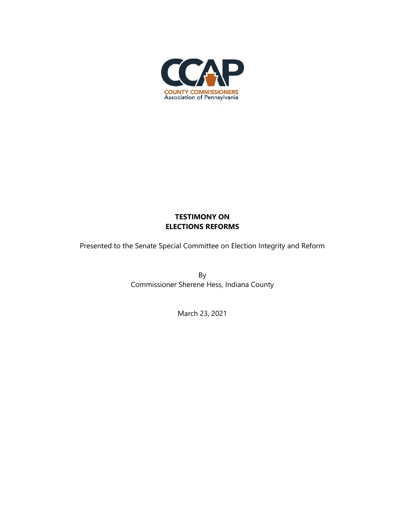

# **TESTIMONY ON ELECTIONS REFORMS**

Presented to the Senate Special Committee on Election Integrity and Reform

By Commissioner Sherene Hess, Indiana County

March 23, 2021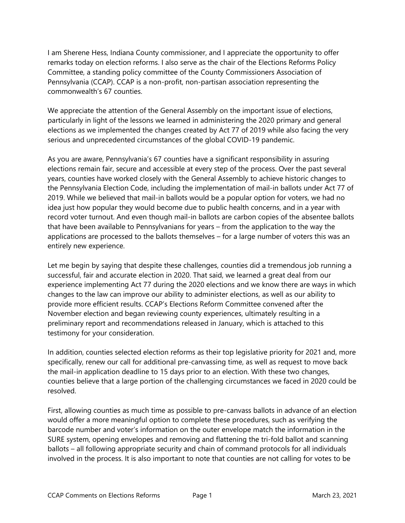I am Sherene Hess, Indiana County commissioner, and I appreciate the opportunity to offer remarks today on election reforms. I also serve as the chair of the Elections Reforms Policy Committee, a standing policy committee of the County Commissioners Association of Pennsylvania (CCAP). CCAP is a non-profit, non-partisan association representing the commonwealth's 67 counties.

We appreciate the attention of the General Assembly on the important issue of elections, particularly in light of the lessons we learned in administering the 2020 primary and general elections as we implemented the changes created by Act 77 of 2019 while also facing the very serious and unprecedented circumstances of the global COVID-19 pandemic.

As you are aware, Pennsylvania's 67 counties have a significant responsibility in assuring elections remain fair, secure and accessible at every step of the process. Over the past several years, counties have worked closely with the General Assembly to achieve historic changes to the Pennsylvania Election Code, including the implementation of mail-in ballots under Act 77 of 2019. While we believed that mail-in ballots would be a popular option for voters, we had no idea just how popular they would become due to public health concerns, and in a year with record voter turnout. And even though mail-in ballots are carbon copies of the absentee ballots that have been available to Pennsylvanians for years – from the application to the way the applications are processed to the ballots themselves – for a large number of voters this was an entirely new experience.

Let me begin by saying that despite these challenges, counties did a tremendous job running a successful, fair and accurate election in 2020. That said, we learned a great deal from our experience implementing Act 77 during the 2020 elections and we know there are ways in which changes to the law can improve our ability to administer elections, as well as our ability to provide more efficient results. CCAP's Elections Reform Committee convened after the November election and began reviewing county experiences, ultimately resulting in a preliminary report and recommendations released in January, which is attached to this testimony for your consideration.

In addition, counties selected election reforms as their top legislative priority for 2021 and, more specifically, renew our call for additional pre-canvassing time, as well as request to move back the mail-in application deadline to 15 days prior to an election. With these two changes, counties believe that a large portion of the challenging circumstances we faced in 2020 could be resolved.

First, allowing counties as much time as possible to pre-canvass ballots in advance of an election would offer a more meaningful option to complete these procedures, such as verifying the barcode number and voter's information on the outer envelope match the information in the SURE system, opening envelopes and removing and flattening the tri-fold ballot and scanning ballots – all following appropriate security and chain of command protocols for all individuals involved in the process. It is also important to note that counties are not calling for votes to be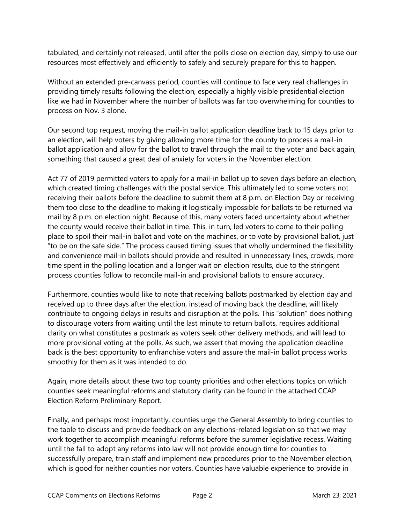tabulated, and certainly not released, until after the polls close on election day, simply to use our resources most effectively and efficiently to safely and securely prepare for this to happen.

Without an extended pre-canvass period, counties will continue to face very real challenges in providing timely results following the election, especially a highly visible presidential election like we had in November where the number of ballots was far too overwhelming for counties to process on Nov. 3 alone.

Our second top request, moving the mail-in ballot application deadline back to 15 days prior to an election, will help voters by giving allowing more time for the county to process a mail-in ballot application and allow for the ballot to travel through the mail to the voter and back again, something that caused a great deal of anxiety for voters in the November election.

Act 77 of 2019 permitted voters to apply for a mail-in ballot up to seven days before an election, which created timing challenges with the postal service. This ultimately led to some voters not receiving their ballots before the deadline to submit them at 8 p.m. on Election Day or receiving them too close to the deadline to making it logistically impossible for ballots to be returned via mail by 8 p.m. on election night. Because of this, many voters faced uncertainty about whether the county would receive their ballot in time. This, in turn, led voters to come to their polling place to spoil their mail-in ballot and vote on the machines, or to vote by provisional ballot, just "to be on the safe side." The process caused timing issues that wholly undermined the flexibility and convenience mail-in ballots should provide and resulted in unnecessary lines, crowds, more time spent in the polling location and a longer wait on election results, due to the stringent process counties follow to reconcile mail-in and provisional ballots to ensure accuracy.

Furthermore, counties would like to note that receiving ballots postmarked by election day and received up to three days after the election, instead of moving back the deadline, will likely contribute to ongoing delays in results and disruption at the polls. This "solution" does nothing to discourage voters from waiting until the last minute to return ballots, requires additional clarity on what constitutes a postmark as voters seek other delivery methods, and will lead to more provisional voting at the polls. As such, we assert that moving the application deadline back is the best opportunity to enfranchise voters and assure the mail-in ballot process works smoothly for them as it was intended to do.

Again, more details about these two top county priorities and other elections topics on which counties seek meaningful reforms and statutory clarity can be found in the attached CCAP Election Reform Preliminary Report.

Finally, and perhaps most importantly, counties urge the General Assembly to bring counties to the table to discuss and provide feedback on any elections-related legislation so that we may work together to accomplish meaningful reforms before the summer legislative recess. Waiting until the fall to adopt any reforms into law will not provide enough time for counties to successfully prepare, train staff and implement new procedures prior to the November election, which is good for neither counties nor voters. Counties have valuable experience to provide in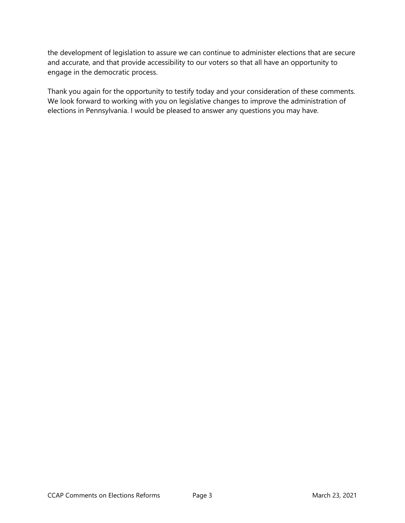the development of legislation to assure we can continue to administer elections that are secure and accurate, and that provide accessibility to our voters so that all have an opportunity to engage in the democratic process.

Thank you again for the opportunity to testify today and your consideration of these comments. We look forward to working with you on legislative changes to improve the administration of elections in Pennsylvania. I would be pleased to answer any questions you may have.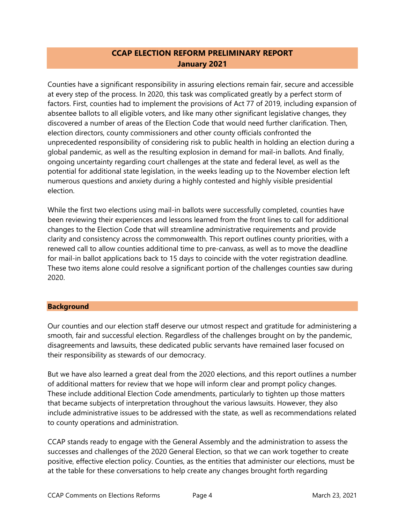# **CCAP ELECTION REFORM PRELIMINARY REPORT January 2021**

Counties have a significant responsibility in assuring elections remain fair, secure and accessible at every step of the process. In 2020, this task was complicated greatly by a perfect storm of factors. First, counties had to implement the provisions of Act 77 of 2019, including expansion of absentee ballots to all eligible voters, and like many other significant legislative changes, they discovered a number of areas of the Election Code that would need further clarification. Then, election directors, county commissioners and other county officials confronted the unprecedented responsibility of considering risk to public health in holding an election during a global pandemic, as well as the resulting explosion in demand for mail-in ballots. And finally, ongoing uncertainty regarding court challenges at the state and federal level, as well as the potential for additional state legislation, in the weeks leading up to the November election left numerous questions and anxiety during a highly contested and highly visible presidential election.

While the first two elections using mail-in ballots were successfully completed, counties have been reviewing their experiences and lessons learned from the front lines to call for additional changes to the Election Code that will streamline administrative requirements and provide clarity and consistency across the commonwealth. This report outlines county priorities, with a renewed call to allow counties additional time to pre-canvass, as well as to move the deadline for mail-in ballot applications back to 15 days to coincide with the voter registration deadline. These two items alone could resolve a significant portion of the challenges counties saw during 2020.

## **Background**

Our counties and our election staff deserve our utmost respect and gratitude for administering a smooth, fair and successful election. Regardless of the challenges brought on by the pandemic, disagreements and lawsuits, these dedicated public servants have remained laser focused on their responsibility as stewards of our democracy.

But we have also learned a great deal from the 2020 elections, and this report outlines a number of additional matters for review that we hope will inform clear and prompt policy changes. These include additional Election Code amendments, particularly to tighten up those matters that became subjects of interpretation throughout the various lawsuits. However, they also include administrative issues to be addressed with the state, as well as recommendations related to county operations and administration.

CCAP stands ready to engage with the General Assembly and the administration to assess the successes and challenges of the 2020 General Election, so that we can work together to create positive, effective election policy. Counties, as the entities that administer our elections, must be at the table for these conversations to help create any changes brought forth regarding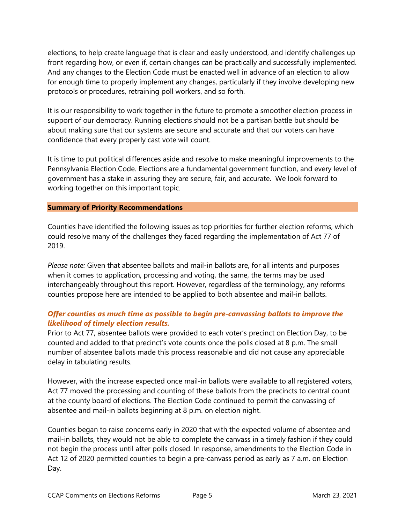elections, to help create language that is clear and easily understood, and identify challenges up front regarding how, or even if, certain changes can be practically and successfully implemented. And any changes to the Election Code must be enacted well in advance of an election to allow for enough time to properly implement any changes, particularly if they involve developing new protocols or procedures, retraining poll workers, and so forth.

It is our responsibility to work together in the future to promote a smoother election process in support of our democracy. Running elections should not be a partisan battle but should be about making sure that our systems are secure and accurate and that our voters can have confidence that every properly cast vote will count.

It is time to put political differences aside and resolve to make meaningful improvements to the Pennsylvania Election Code. Elections are a fundamental government function, and every level of government has a stake in assuring they are secure, fair, and accurate. We look forward to working together on this important topic.

### **Summary of Priority Recommendations**

Counties have identified the following issues as top priorities for further election reforms, which could resolve many of the challenges they faced regarding the implementation of Act 77 of 2019.

*Please note:* Given that absentee ballots and mail-in ballots are, for all intents and purposes when it comes to application, processing and voting, the same, the terms may be used interchangeably throughout this report. However, regardless of the terminology, any reforms counties propose here are intended to be applied to both absentee and mail-in ballots.

# *Offer counties as much time as possible to begin pre-canvassing ballots to improve the likelihood of timely election results.*

Prior to Act 77, absentee ballots were provided to each voter's precinct on Election Day, to be counted and added to that precinct's vote counts once the polls closed at 8 p.m. The small number of absentee ballots made this process reasonable and did not cause any appreciable delay in tabulating results.

However, with the increase expected once mail-in ballots were available to all registered voters, Act 77 moved the processing and counting of these ballots from the precincts to central count at the county board of elections. The Election Code continued to permit the canvassing of absentee and mail-in ballots beginning at 8 p.m. on election night.

Counties began to raise concerns early in 2020 that with the expected volume of absentee and mail-in ballots, they would not be able to complete the canvass in a timely fashion if they could not begin the process until after polls closed. In response, amendments to the Election Code in Act 12 of 2020 permitted counties to begin a pre-canvass period as early as 7 a.m. on Election Day.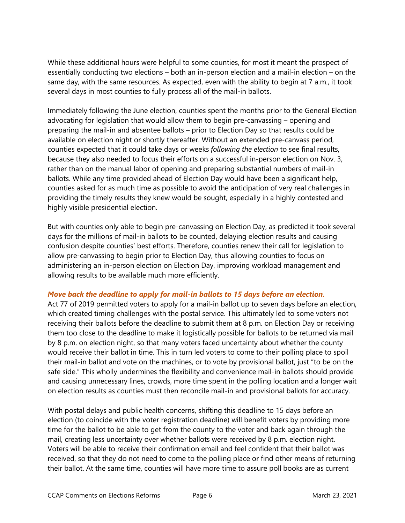While these additional hours were helpful to some counties, for most it meant the prospect of essentially conducting two elections – both an in-person election and a mail-in election – on the same day, with the same resources. As expected, even with the ability to begin at 7 a.m., it took several days in most counties to fully process all of the mail-in ballots.

Immediately following the June election, counties spent the months prior to the General Election advocating for legislation that would allow them to begin pre-canvassing – opening and preparing the mail-in and absentee ballots – prior to Election Day so that results could be available on election night or shortly thereafter. Without an extended pre-canvass period, counties expected that it could take days or weeks *following the election* to see final results, because they also needed to focus their efforts on a successful in-person election on Nov. 3, rather than on the manual labor of opening and preparing substantial numbers of mail-in ballots. While any time provided ahead of Election Day would have been a significant help, counties asked for as much time as possible to avoid the anticipation of very real challenges in providing the timely results they knew would be sought, especially in a highly contested and highly visible presidential election.

But with counties only able to begin pre-canvassing on Election Day, as predicted it took several days for the millions of mail-in ballots to be counted, delaying election results and causing confusion despite counties' best efforts. Therefore, counties renew their call for legislation to allow pre-canvassing to begin prior to Election Day, thus allowing counties to focus on administering an in-person election on Election Day, improving workload management and allowing results to be available much more efficiently.

## *Move back the deadline to apply for mail-in ballots to 15 days before an election.*

Act 77 of 2019 permitted voters to apply for a mail-in ballot up to seven days before an election, which created timing challenges with the postal service. This ultimately led to some voters not receiving their ballots before the deadline to submit them at 8 p.m. on Election Day or receiving them too close to the deadline to make it logistically possible for ballots to be returned via mail by 8 p.m. on election night, so that many voters faced uncertainty about whether the county would receive their ballot in time. This in turn led voters to come to their polling place to spoil their mail-in ballot and vote on the machines, or to vote by provisional ballot, just "to be on the safe side." This wholly undermines the flexibility and convenience mail-in ballots should provide and causing unnecessary lines, crowds, more time spent in the polling location and a longer wait on election results as counties must then reconcile mail-in and provisional ballots for accuracy.

With postal delays and public health concerns, shifting this deadline to 15 days before an election (to coincide with the voter registration deadline) will benefit voters by providing more time for the ballot to be able to get from the county to the voter and back again through the mail, creating less uncertainty over whether ballots were received by 8 p.m. election night. Voters will be able to receive their confirmation email and feel confident that their ballot was received, so that they do not need to come to the polling place or find other means of returning their ballot. At the same time, counties will have more time to assure poll books are as current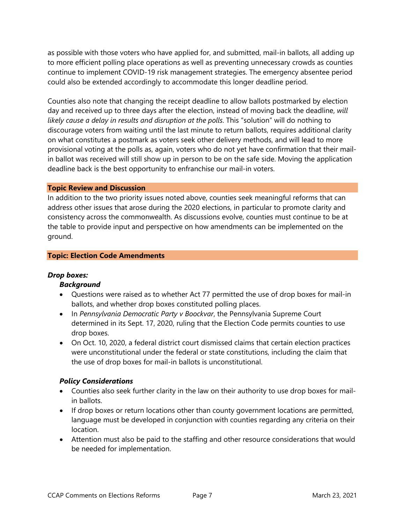as possible with those voters who have applied for, and submitted, mail-in ballots, all adding up to more efficient polling place operations as well as preventing unnecessary crowds as counties continue to implement COVID-19 risk management strategies. The emergency absentee period could also be extended accordingly to accommodate this longer deadline period.

Counties also note that changing the receipt deadline to allow ballots postmarked by election day and received up to three days after the election, instead of moving back the deadline, *will likely cause a delay in results and disruption at the polls*. This "solution" will do nothing to discourage voters from waiting until the last minute to return ballots, requires additional clarity on what constitutes a postmark as voters seek other delivery methods, and will lead to more provisional voting at the polls as, again, voters who do not yet have confirmation that their mailin ballot was received will still show up in person to be on the safe side. Moving the application deadline back is the best opportunity to enfranchise our mail-in voters.

### **Topic Review and Discussion**

In addition to the two priority issues noted above, counties seek meaningful reforms that can address other issues that arose during the 2020 elections, in particular to promote clarity and consistency across the commonwealth. As discussions evolve, counties must continue to be at the table to provide input and perspective on how amendments can be implemented on the ground.

#### **Topic: Election Code Amendments**

### *Drop boxes:*

### *Background*

- Questions were raised as to whether Act 77 permitted the use of drop boxes for mail-in ballots, and whether drop boxes constituted polling places.
- In *Pennsylvania Democratic Party v Boockvar*, the Pennsylvania Supreme Court determined in its Sept. 17, 2020, ruling that the Election Code permits counties to use drop boxes.
- On Oct. 10, 2020, a federal district court dismissed claims that certain election practices were unconstitutional under the federal or state constitutions, including the claim that the use of drop boxes for mail-in ballots is unconstitutional.

### *Policy Considerations*

- Counties also seek further clarity in the law on their authority to use drop boxes for mailin ballots.
- If drop boxes or return locations other than county government locations are permitted, language must be developed in conjunction with counties regarding any criteria on their location.
- Attention must also be paid to the staffing and other resource considerations that would be needed for implementation.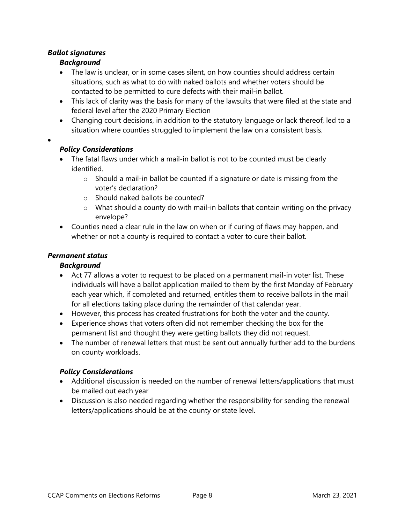# *Ballot signatures*

•

# *Background*

- The law is unclear, or in some cases silent, on how counties should address certain situations, such as what to do with naked ballots and whether voters should be contacted to be permitted to cure defects with their mail-in ballot.
- This lack of clarity was the basis for many of the lawsuits that were filed at the state and federal level after the 2020 Primary Election
- Changing court decisions, in addition to the statutory language or lack thereof, led to a situation where counties struggled to implement the law on a consistent basis.

# *Policy Considerations*

- The fatal flaws under which a mail-in ballot is not to be counted must be clearly identified.
	- o Should a mail-in ballot be counted if a signature or date is missing from the voter's declaration?
	- o Should naked ballots be counted?
	- $\circ$  What should a county do with mail-in ballots that contain writing on the privacy envelope?
- Counties need a clear rule in the law on when or if curing of flaws may happen, and whether or not a county is required to contact a voter to cure their ballot.

# *Permanent status*

# *Background*

- Act 77 allows a voter to request to be placed on a permanent mail-in voter list. These individuals will have a ballot application mailed to them by the first Monday of February each year which, if completed and returned, entitles them to receive ballots in the mail for all elections taking place during the remainder of that calendar year.
- However, this process has created frustrations for both the voter and the county.
- Experience shows that voters often did not remember checking the box for the permanent list and thought they were getting ballots they did not request.
- The number of renewal letters that must be sent out annually further add to the burdens on county workloads.

# *Policy Considerations*

- Additional discussion is needed on the number of renewal letters/applications that must be mailed out each year
- Discussion is also needed regarding whether the responsibility for sending the renewal letters/applications should be at the county or state level.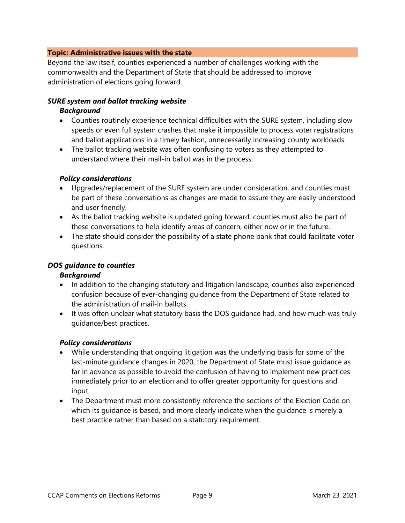## **Topic: Administrative issues with the state**

Beyond the law itself, counties experienced a number of challenges working with the commonwealth and the Department of State that should be addressed to improve administration of elections going forward.

### *SURE system and ballot tracking website*

### *Background*

- Counties routinely experience technical difficulties with the SURE system, including slow speeds or even full system crashes that make it impossible to process voter registrations and ballot applications in a timely fashion, unnecessarily increasing county workloads.
- The ballot tracking website was often confusing to voters as they attempted to understand where their mail-in ballot was in the process.

### *Policy considerations*

- Upgrades/replacement of the SURE system are under consideration, and counties must be part of these conversations as changes are made to assure they are easily understood and user friendly.
- As the ballot tracking website is updated going forward, counties must also be part of these conversations to help identify areas of concern, either now or in the future.
- The state should consider the possibility of a state phone bank that could facilitate voter questions.

### *DOS guidance to counties*

### *Background*

- In addition to the changing statutory and litigation landscape, counties also experienced confusion because of ever-changing guidance from the Department of State related to the administration of mail-in ballots.
- It was often unclear what statutory basis the DOS guidance had, and how much was truly guidance/best practices.

### *Policy considerations*

- While understanding that ongoing litigation was the underlying basis for some of the last-minute guidance changes in 2020, the Department of State must issue guidance as far in advance as possible to avoid the confusion of having to implement new practices immediately prior to an election and to offer greater opportunity for questions and input.
- The Department must more consistently reference the sections of the Election Code on which its guidance is based, and more clearly indicate when the guidance is merely a best practice rather than based on a statutory requirement.